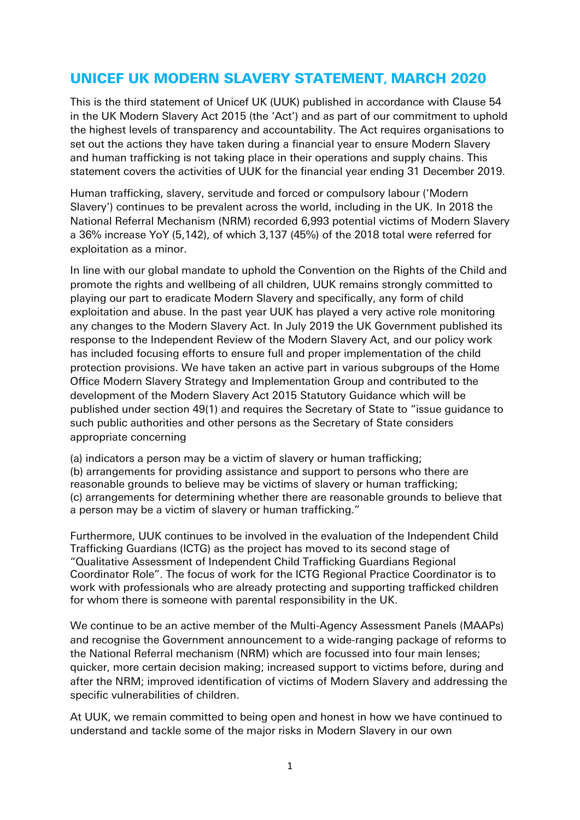# UNICEF UK MODERN SLAVERY STATEMENT, MARCH 2020

This is the third statement of Unicef UK (UUK) published in accordance with Clause 54 in the UK Modern Slavery Act 2015 (the 'Act') and as part of our commitment to uphold the highest levels of transparency and accountability. The Act requires organisations to set out the actions they have taken during a financial year to ensure Modern Slavery and human trafficking is not taking place in their operations and supply chains. This statement covers the activities of UUK for the financial year ending 31 December 2019.

Human trafficking, slavery, servitude and forced or compulsory labour ('Modern Slavery') continues to be prevalent across the world, including in the UK. In 2018 the National Referral Mechanism (NRM) recorded 6,993 potential victims of Modern Slavery a 36% increase YoY (5,142), of which 3,137 (45%) of the 2018 total were referred for exploitation as a minor.

In line with our global mandate to uphold the Convention on the Rights of the Child and promote the rights and wellbeing of all children, UUK remains strongly committed to playing our part to eradicate Modern Slavery and specifically, any form of child exploitation and abuse. In the past year UUK has played a very active role monitoring any changes to the Modern Slavery Act. In July 2019 the UK Government published its response to the Independent Review of the Modern Slavery Act, and our policy work has included focusing efforts to ensure full and proper implementation of the child protection provisions. We have taken an active part in various subgroups of the Home Office Modern Slavery Strategy and Implementation Group and contributed to the development of the Modern Slavery Act 2015 Statutory Guidance which will be published under section 49(1) and requires the Secretary of State to "issue guidance to such public authorities and other persons as the Secretary of State considers appropriate concerning

(a) indicators a person may be a victim of slavery or human trafficking; (b) arrangements for providing assistance and support to persons who there are reasonable grounds to believe may be victims of slavery or human trafficking; (c) arrangements for determining whether there are reasonable grounds to believe that a person may be a victim of slavery or human trafficking."

Furthermore, UUK continues to be involved in the evaluation of the Independent Child Trafficking Guardians (ICTG) as the project has moved to its second stage of "Qualitative Assessment of Independent Child Trafficking Guardians Regional Coordinator Role". The focus of work for the ICTG Regional Practice Coordinator is to work with professionals who are already protecting and supporting trafficked children for whom there is someone with parental responsibility in the UK.

We continue to be an active member of the Multi-Agency Assessment Panels (MAAPs) and recognise the Government announcement to a wide-ranging package of reforms to the National Referral mechanism (NRM) which are focussed into four main lenses; quicker, more certain decision making; increased support to victims before, during and after the NRM; improved identification of victims of Modern Slavery and addressing the specific vulnerabilities of children.

At UUK, we remain committed to being open and honest in how we have continued to understand and tackle some of the major risks in Modern Slavery in our own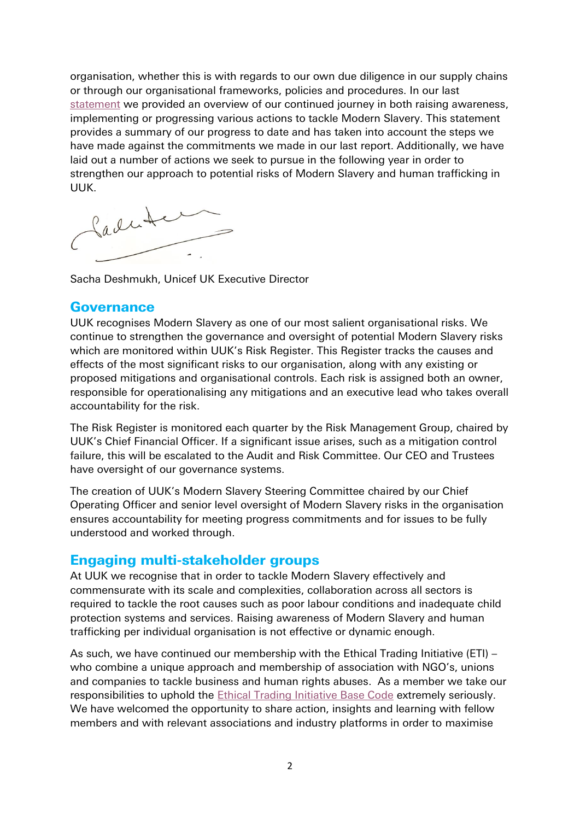organisation, whether this is with regards to our own due diligence in our supply chains or through our organisational frameworks, policies and procedures. In our last [statement](https://downloads.unicef.org.uk/wp-content/uploads/2019/04/Unicef-UK-Modern-Slavery-Statement-2019.pdf) we provided an overview of our continued journey in both raising awareness, implementing or progressing various actions to tackle Modern Slavery. This statement provides a summary of our progress to date and has taken into account the steps we have made against the commitments we made in our last report. Additionally, we have laid out a number of actions we seek to pursue in the following year in order to strengthen our approach to potential risks of Modern Slavery and human trafficking in UUK.

Ladute

Sacha Deshmukh, Unicef UK Executive Director

#### **Governance**

UUK recognises Modern Slavery as one of our most salient organisational risks. We continue to strengthen the governance and oversight of potential Modern Slavery risks which are monitored within UUK's Risk Register. This Register tracks the causes and effects of the most significant risks to our organisation, along with any existing or proposed mitigations and organisational controls. Each risk is assigned both an owner, responsible for operationalising any mitigations and an executive lead who takes overall accountability for the risk.

The Risk Register is monitored each quarter by the Risk Management Group, chaired by UUK's Chief Financial Officer. If a significant issue arises, such as a mitigation control failure, this will be escalated to the Audit and Risk Committee. Our CEO and Trustees have oversight of our governance systems.

The creation of UUK's Modern Slavery Steering Committee chaired by our Chief Operating Officer and senior level oversight of Modern Slavery risks in the organisation ensures accountability for meeting progress commitments and for issues to be fully understood and worked through.

## Engaging multi-stakeholder groups

At UUK we recognise that in order to tackle Modern Slavery effectively and commensurate with its scale and complexities, collaboration across all sectors is required to tackle the root causes such as poor labour conditions and inadequate child protection systems and services. Raising awareness of Modern Slavery and human trafficking per individual organisation is not effective or dynamic enough.

As such, we have continued our membership with the Ethical Trading Initiative (ETI) – who combine a unique approach and membership of association with NGO's, unions and companies to tackle business and human rights abuses. As a member we take our responsibilities to uphold the [Ethical Trading Initiative Base Code](https://www.ethicaltrade.org/eti-base-code) extremely seriously. We have welcomed the opportunity to share action, insights and learning with fellow members and with relevant associations and industry platforms in order to maximise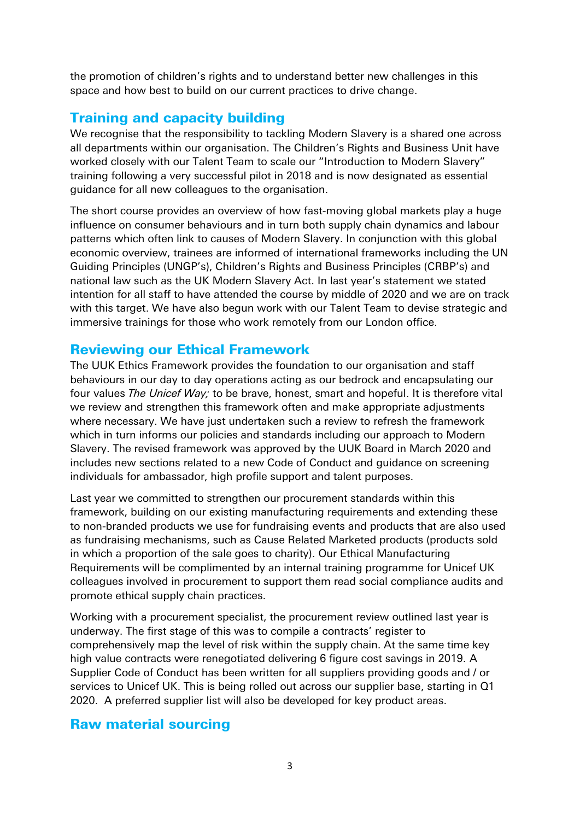the promotion of children's rights and to understand better new challenges in this space and how best to build on our current practices to drive change.

# Training and capacity building

We recognise that the responsibility to tackling Modern Slavery is a shared one across all departments within our organisation. The Children's Rights and Business Unit have worked closely with our Talent Team to scale our "Introduction to Modern Slavery" training following a very successful pilot in 2018 and is now designated as essential guidance for all new colleagues to the organisation.

The short course provides an overview of how fast-moving global markets play a huge influence on consumer behaviours and in turn both supply chain dynamics and labour patterns which often link to causes of Modern Slavery. In conjunction with this global economic overview, trainees are informed of international frameworks including the UN Guiding Principles (UNGP's), Children's Rights and Business Principles (CRBP's) and national law such as the UK Modern Slavery Act. In last year's statement we stated intention for all staff to have attended the course by middle of 2020 and we are on track with this target. We have also begun work with our Talent Team to devise strategic and immersive trainings for those who work remotely from our London office.

## Reviewing our Ethical Framework

The UUK Ethics Framework provides the foundation to our organisation and staff behaviours in our day to day operations acting as our bedrock and encapsulating our four values *The Unicef Way;* to be brave, honest, smart and hopeful. It is therefore vital we review and strengthen this framework often and make appropriate adjustments where necessary. We have just undertaken such a review to refresh the framework which in turn informs our policies and standards including our approach to Modern Slavery. The revised framework was approved by the UUK Board in March 2020 and includes new sections related to a new Code of Conduct and guidance on screening individuals for ambassador, high profile support and talent purposes.

Last year we committed to strengthen our procurement standards within this framework, building on our existing manufacturing requirements and extending these to non-branded products we use for fundraising events and products that are also used as fundraising mechanisms, such as Cause Related Marketed products (products sold in which a proportion of the sale goes to charity). Our Ethical Manufacturing Requirements will be complimented by an internal training programme for Unicef UK colleagues involved in procurement to support them read social compliance audits and promote ethical supply chain practices.

Working with a procurement specialist, the procurement review outlined last year is underway. The first stage of this was to compile a contracts' register to comprehensively map the level of risk within the supply chain. At the same time key high value contracts were renegotiated delivering 6 figure cost savings in 2019. A Supplier Code of Conduct has been written for all suppliers providing goods and / or services to Unicef UK. This is being rolled out across our supplier base, starting in Q1 2020. A preferred supplier list will also be developed for key product areas.

## Raw material sourcing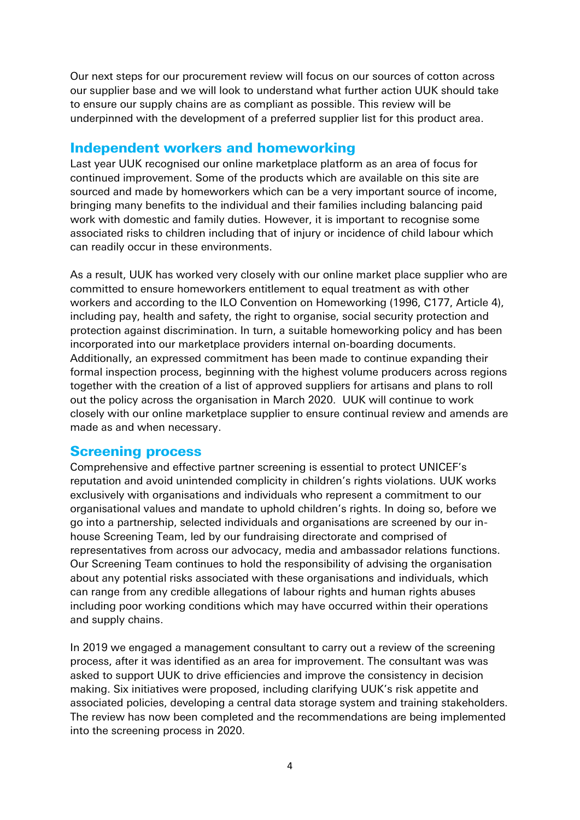Our next steps for our procurement review will focus on our sources of cotton across our supplier base and we will look to understand what further action UUK should take to ensure our supply chains are as compliant as possible. This review will be underpinned with the development of a preferred supplier list for this product area.

### Independent workers and homeworking

Last year UUK recognised our online marketplace platform as an area of focus for continued improvement. Some of the products which are available on this site are sourced and made by homeworkers which can be a very important source of income, bringing many benefits to the individual and their families including balancing paid work with domestic and family duties. However, it is important to recognise some associated risks to children including that of injury or incidence of child labour which can readily occur in these environments.

As a result, UUK has worked very closely with our online market place supplier who are committed to ensure homeworkers entitlement to equal treatment as with other workers and according to the ILO Convention on Homeworking (1996, C177, Article 4), including pay, health and safety, the right to organise, social security protection and protection against discrimination. In turn, a suitable homeworking policy and has been incorporated into our marketplace providers internal on-boarding documents. Additionally, an expressed commitment has been made to continue expanding their formal inspection process, beginning with the highest volume producers across regions together with the creation of a list of approved suppliers for artisans and plans to roll out the policy across the organisation in March 2020. UUK will continue to work closely with our online marketplace supplier to ensure continual review and amends are made as and when necessary.

### Screening process

Comprehensive and effective partner screening is essential to protect UNICEF's reputation and avoid unintended complicity in children's rights violations. UUK works exclusively with organisations and individuals who represent a commitment to our organisational values and mandate to uphold children's rights. In doing so, before we go into a partnership, selected individuals and organisations are screened by our inhouse Screening Team, led by our fundraising directorate and comprised of representatives from across our advocacy, media and ambassador relations functions. Our Screening Team continues to hold the responsibility of advising the organisation about any potential risks associated with these organisations and individuals, which can range from any credible allegations of labour rights and human rights abuses including poor working conditions which may have occurred within their operations and supply chains.

In 2019 we engaged a management consultant to carry out a review of the screening process, after it was identified as an area for improvement. The consultant was was asked to support UUK to drive efficiencies and improve the consistency in decision making. Six initiatives were proposed, including clarifying UUK's risk appetite and associated policies, developing a central data storage system and training stakeholders. The review has now been completed and the recommendations are being implemented into the screening process in 2020.